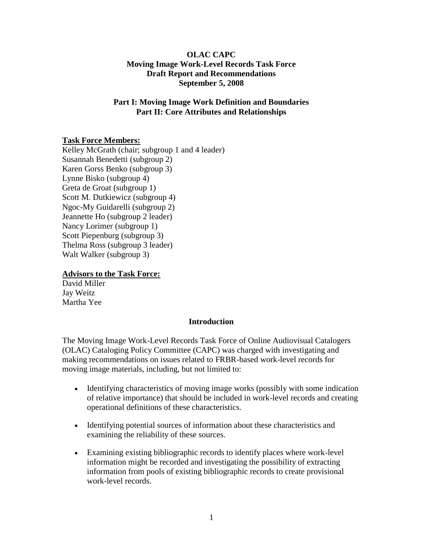#### **OLAC CAPC Moving Image Work-Level Records Task Force Draft Report and Recommendations September 5, 2008**

#### **Part I: Moving Image Work Definition and Boundaries Part II: Core Attributes and Relationships**

# **Task Force Members:**

Kelley McGrath (chair; subgroup 1 and 4 leader) Susannah Benedetti (subgroup 2) Karen Gorss Benko (subgroup 3) Lynne Bisko (subgroup 4) Greta de Groat (subgroup 1) Scott M. Dutkiewicz (subgroup 4) Ngoc-My Guidarelli (subgroup 2) Jeannette Ho (subgroup 2 leader) Nancy Lorimer (subgroup 1) Scott Piepenburg (subgroup 3) Thelma Ross (subgroup 3 leader) Walt Walker (subgroup 3)

#### **Advisors to the Task Force:**

David Miller Jay Weitz Martha Yee

#### **Introduction**

The Moving Image Work-Level Records Task Force of Online Audiovisual Catalogers (OLAC) Cataloging Policy Committee (CAPC) was charged with investigating and making recommendations on issues related to FRBR-based work-level records for moving image materials, including, but not limited to:

- Identifying characteristics of moving image works (possibly with some indication of relative importance) that should be included in work-level records and creating operational definitions of these characteristics.
- Identifying potential sources of information about these characteristics and examining the reliability of these sources.
- Examining existing bibliographic records to identify places where work-level information might be recorded and investigating the possibility of extracting information from pools of existing bibliographic records to create provisional work-level records.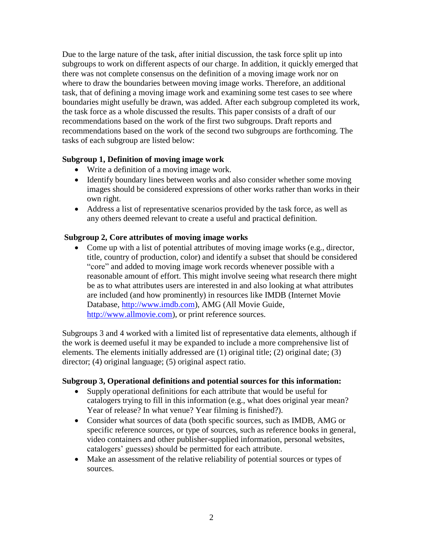Due to the large nature of the task, after initial discussion, the task force split up into subgroups to work on different aspects of our charge. In addition, it quickly emerged that there was not complete consensus on the definition of a moving image work nor on where to draw the boundaries between moving image works. Therefore, an additional task, that of defining a moving image work and examining some test cases to see where boundaries might usefully be drawn, was added. After each subgroup completed its work, the task force as a whole discussed the results. This paper consists of a draft of our recommendations based on the work of the first two subgroups. Draft reports and recommendations based on the work of the second two subgroups are forthcoming. The tasks of each subgroup are listed below:

#### **Subgroup 1, Definition of moving image work**

- Write a definition of a moving image work.
- Identify boundary lines between works and also consider whether some moving images should be considered expressions of other works rather than works in their own right.
- Address a list of representative scenarios provided by the task force, as well as any others deemed relevant to create a useful and practical definition.

#### **Subgroup 2, Core attributes of moving image works**

Come up with a list of potential attributes of moving image works (e.g., director, title, country of production, color) and identify a subset that should be considered "core" and added to moving image work records whenever possible with a reasonable amount of effort. This might involve seeing what research there might be as to what attributes users are interested in and also looking at what attributes are included (and how prominently) in resources like IMDB (Internet Movie Database, [http://www.imdb.com\)](http://www.imdb.com/), AMG (All Movie Guide, [http://www.allmovie.com\)](http://www.allmovie.com/), or print reference sources.

Subgroups 3 and 4 worked with a limited list of representative data elements, although if the work is deemed useful it may be expanded to include a more comprehensive list of elements. The elements initially addressed are (1) original title; (2) original date; (3) director; (4) original language; (5) original aspect ratio.

#### **Subgroup 3, Operational definitions and potential sources for this information:**

- Supply operational definitions for each attribute that would be useful for catalogers trying to fill in this information (e.g., what does original year mean? Year of release? In what venue? Year filming is finished?).
- Consider what sources of data (both specific sources, such as IMDB, AMG or specific reference sources, or type of sources, such as reference books in general, video containers and other publisher-supplied information, personal websites, catalogers" guesses) should be permitted for each attribute.
- Make an assessment of the relative reliability of potential sources or types of sources.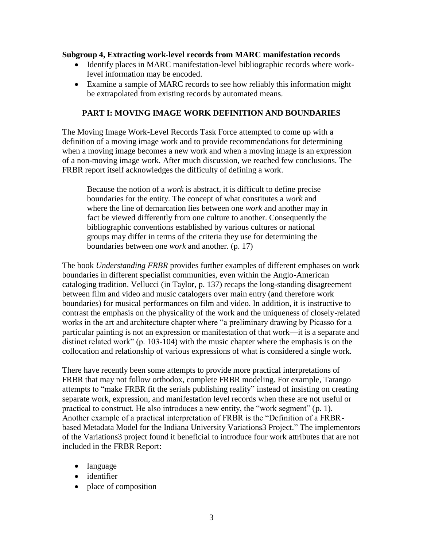#### **Subgroup 4, Extracting work-level records from MARC manifestation records**

- Identify places in MARC manifestation-level bibliographic records where worklevel information may be encoded.
- Examine a sample of MARC records to see how reliably this information might be extrapolated from existing records by automated means.

#### **PART I: MOVING IMAGE WORK DEFINITION AND BOUNDARIES**

The Moving Image Work-Level Records Task Force attempted to come up with a definition of a moving image work and to provide recommendations for determining when a moving image becomes a new work and when a moving image is an expression of a non-moving image work. After much discussion, we reached few conclusions. The FRBR report itself acknowledges the difficulty of defining a work.

Because the notion of a *work* is abstract, it is difficult to define precise boundaries for the entity. The concept of what constitutes a *work* and where the line of demarcation lies between one *work* and another may in fact be viewed differently from one culture to another. Consequently the bibliographic conventions established by various cultures or national groups may differ in terms of the criteria they use for determining the boundaries between one *work* and another. (p. 17)

The book *Understanding FRBR* provides further examples of different emphases on work boundaries in different specialist communities, even within the Anglo-American cataloging tradition. Vellucci (in Taylor, p. 137) recaps the long-standing disagreement between film and video and music catalogers over main entry (and therefore work boundaries) for musical performances on film and video. In addition, it is instructive to contrast the emphasis on the physicality of the work and the uniqueness of closely-related works in the art and architecture chapter where "a preliminary drawing by Picasso for a particular painting is not an expression or manifestation of that work—it is a separate and distinct related work" (p. 103-104) with the music chapter where the emphasis is on the collocation and relationship of various expressions of what is considered a single work.

There have recently been some attempts to provide more practical interpretations of FRBR that may not follow orthodox, complete FRBR modeling. For example, Tarango attempts to "make FRBR fit the serials publishing reality" instead of insisting on creating separate work, expression, and manifestation level records when these are not useful or practical to construct. He also introduces a new entity, the "work segment" (p. 1). Another example of a practical interpretation of FRBR is the "Definition of a FRBRbased Metadata Model for the Indiana University Variations3 Project." The implementors of the Variations3 project found it beneficial to introduce four work attributes that are not included in the FRBR Report:

- language
- identifier
- place of composition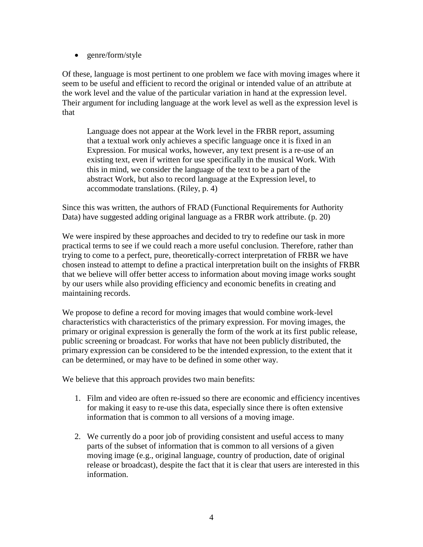• genre/form/style

Of these, language is most pertinent to one problem we face with moving images where it seem to be useful and efficient to record the original or intended value of an attribute at the work level and the value of the particular variation in hand at the expression level. Their argument for including language at the work level as well as the expression level is that

Language does not appear at the Work level in the FRBR report, assuming that a textual work only achieves a specific language once it is fixed in an Expression. For musical works, however, any text present is a re-use of an existing text, even if written for use specifically in the musical Work. With this in mind, we consider the language of the text to be a part of the abstract Work, but also to record language at the Expression level, to accommodate translations. (Riley, p. 4)

Since this was written, the authors of FRAD (Functional Requirements for Authority Data) have suggested adding original language as a FRBR work attribute. (p. 20)

We were inspired by these approaches and decided to try to redefine our task in more practical terms to see if we could reach a more useful conclusion. Therefore, rather than trying to come to a perfect, pure, theoretically-correct interpretation of FRBR we have chosen instead to attempt to define a practical interpretation built on the insights of FRBR that we believe will offer better access to information about moving image works sought by our users while also providing efficiency and economic benefits in creating and maintaining records.

We propose to define a record for moving images that would combine work-level characteristics with characteristics of the primary expression. For moving images, the primary or original expression is generally the form of the work at its first public release, public screening or broadcast. For works that have not been publicly distributed, the primary expression can be considered to be the intended expression, to the extent that it can be determined, or may have to be defined in some other way.

We believe that this approach provides two main benefits:

- 1. Film and video are often re-issued so there are economic and efficiency incentives for making it easy to re-use this data, especially since there is often extensive information that is common to all versions of a moving image.
- 2. We currently do a poor job of providing consistent and useful access to many parts of the subset of information that is common to all versions of a given moving image (e.g., original language, country of production, date of original release or broadcast), despite the fact that it is clear that users are interested in this information.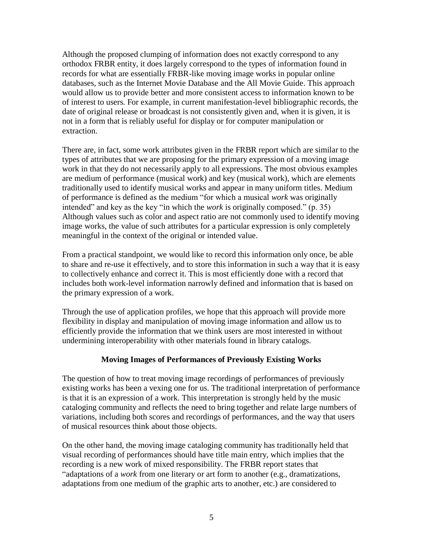Although the proposed clumping of information does not exactly correspond to any orthodox FRBR entity, it does largely correspond to the types of information found in records for what are essentially FRBR-like moving image works in popular online databases, such as the Internet Movie Database and the All Movie Guide. This approach would allow us to provide better and more consistent access to information known to be of interest to users. For example, in current manifestation-level bibliographic records, the date of original release or broadcast is not consistently given and, when it is given, it is not in a form that is reliably useful for display or for computer manipulation or extraction.

There are, in fact, some work attributes given in the FRBR report which are similar to the types of attributes that we are proposing for the primary expression of a moving image work in that they do not necessarily apply to all expressions. The most obvious examples are medium of performance (musical work) and key (musical work), which are elements traditionally used to identify musical works and appear in many uniform titles. Medium of performance is defined as the medium "for which a musical *work* was originally intended" and key as the key "in which the *work* is originally composed." (p. 35) Although values such as color and aspect ratio are not commonly used to identify moving image works, the value of such attributes for a particular expression is only completely meaningful in the context of the original or intended value.

From a practical standpoint, we would like to record this information only once, be able to share and re-use it effectively, and to store this information in such a way that it is easy to collectively enhance and correct it. This is most efficiently done with a record that includes both work-level information narrowly defined and information that is based on the primary expression of a work.

Through the use of application profiles, we hope that this approach will provide more flexibility in display and manipulation of moving image information and allow us to efficiently provide the information that we think users are most interested in without undermining interoperability with other materials found in library catalogs.

# **Moving Images of Performances of Previously Existing Works**

The question of how to treat moving image recordings of performances of previously existing works has been a vexing one for us. The traditional interpretation of performance is that it is an expression of a work. This interpretation is strongly held by the music cataloging community and reflects the need to bring together and relate large numbers of variations, including both scores and recordings of performances, and the way that users of musical resources think about those objects.

On the other hand, the moving image cataloging community has traditionally held that visual recording of performances should have title main entry, which implies that the recording is a new work of mixed responsibility. The FRBR report states that "adaptations of a *work* from one literary or art form to another (e.g., dramatizations, adaptations from one medium of the graphic arts to another, etc.) are considered to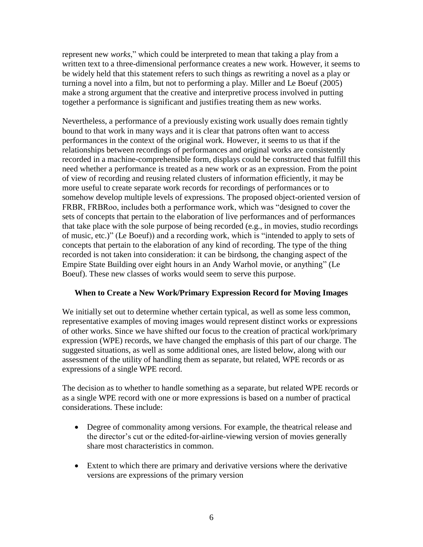represent new *works*," which could be interpreted to mean that taking a play from a written text to a three-dimensional performance creates a new work. However, it seems to be widely held that this statement refers to such things as rewriting a novel as a play or turning a novel into a film, but not to performing a play. Miller and Le Boeuf (2005) make a strong argument that the creative and interpretive process involved in putting together a performance is significant and justifies treating them as new works.

Nevertheless, a performance of a previously existing work usually does remain tightly bound to that work in many ways and it is clear that patrons often want to access performances in the context of the original work. However, it seems to us that if the relationships between recordings of performances and original works are consistently recorded in a machine-comprehensible form, displays could be constructed that fulfill this need whether a performance is treated as a new work or as an expression. From the point of view of recording and reusing related clusters of information efficiently, it may be more useful to create separate work records for recordings of performances or to somehow develop multiple levels of expressions. The proposed object-oriented version of FRBR, FRBRoo, includes both a performance work, which was "designed to cover the sets of concepts that pertain to the elaboration of live performances and of performances that take place with the sole purpose of being recorded (e.g., in movies, studio recordings of music, etc.)" (Le Boeuf)) and a recording work, which is "intended to apply to sets of concepts that pertain to the elaboration of any kind of recording. The type of the thing recorded is not taken into consideration: it can be birdsong, the changing aspect of the Empire State Building over eight hours in an Andy Warhol movie, or anything" (Le Boeuf). These new classes of works would seem to serve this purpose.

# **When to Create a New Work/Primary Expression Record for Moving Images**

We initially set out to determine whether certain typical, as well as some less common, representative examples of moving images would represent distinct works or expressions of other works. Since we have shifted our focus to the creation of practical work/primary expression (WPE) records, we have changed the emphasis of this part of our charge. The suggested situations, as well as some additional ones, are listed below, along with our assessment of the utility of handling them as separate, but related, WPE records or as expressions of a single WPE record.

The decision as to whether to handle something as a separate, but related WPE records or as a single WPE record with one or more expressions is based on a number of practical considerations. These include:

- Degree of commonality among versions. For example, the theatrical release and the director"s cut or the edited-for-airline-viewing version of movies generally share most characteristics in common.
- Extent to which there are primary and derivative versions where the derivative versions are expressions of the primary version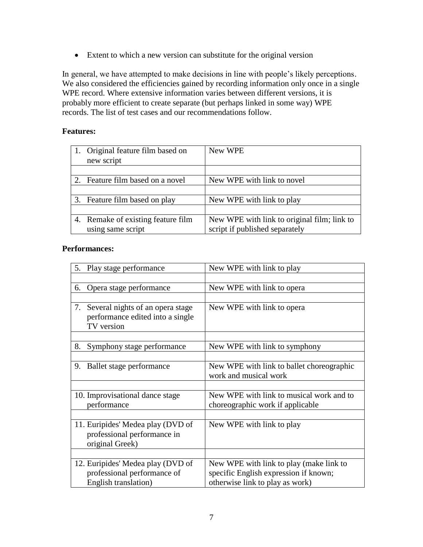Extent to which a new version can substitute for the original version

In general, we have attempted to make decisions in line with people"s likely perceptions. We also considered the efficiencies gained by recording information only once in a single WPE record. Where extensive information varies between different versions, it is probably more efficient to create separate (but perhaps linked in some way) WPE records. The list of test cases and our recommendations follow.

#### **Features:**

| 1. Original feature film based on<br>new script | New WPE                                     |
|-------------------------------------------------|---------------------------------------------|
|                                                 |                                             |
| 2. Feature film based on a novel                | New WPE with link to novel                  |
|                                                 |                                             |
| 3. Feature film based on play                   | New WPE with link to play                   |
|                                                 |                                             |
| 4. Remake of existing feature film              | New WPE with link to original film; link to |
| using same script                               | script if published separately              |

#### **Performances:**

| Play stage performance<br>5.                                                             | New WPE with link to play                                          |
|------------------------------------------------------------------------------------------|--------------------------------------------------------------------|
|                                                                                          |                                                                    |
| Opera stage performance<br>6.                                                            | New WPE with link to opera                                         |
|                                                                                          |                                                                    |
| Several nights of an opera stage<br>7.<br>performance edited into a single<br>TV version | New WPE with link to opera                                         |
|                                                                                          |                                                                    |
| 8.<br>Symphony stage performance                                                         | New WPE with link to symphony                                      |
|                                                                                          |                                                                    |
| Ballet stage performance<br>9.                                                           | New WPE with link to ballet choreographic<br>work and musical work |
|                                                                                          |                                                                    |
| 10. Improvisational dance stage                                                          | New WPE with link to musical work and to                           |
| performance                                                                              | choreographic work if applicable                                   |
|                                                                                          |                                                                    |
| 11. Euripides' Medea play (DVD of<br>professional performance in<br>original Greek)      | New WPE with link to play                                          |
|                                                                                          |                                                                    |
| 12. Euripides' Medea play (DVD of                                                        | New WPE with link to play (make link to                            |
| professional performance of                                                              | specific English expression if known;                              |
| English translation)                                                                     | otherwise link to play as work)                                    |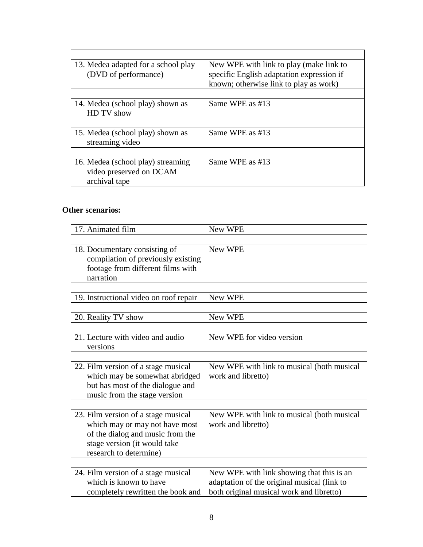| 13. Medea adapted for a school play | New WPE with link to play (make link to   |
|-------------------------------------|-------------------------------------------|
| (DVD of performance)                | specific English adaptation expression if |
|                                     | known; otherwise link to play as work)    |
|                                     |                                           |
| 14. Medea (school play) shown as    | Same WPE as #13                           |
| HD TV show                          |                                           |
|                                     |                                           |
| 15. Medea (school play) shown as    | Same WPE as #13                           |
| streaming video                     |                                           |
|                                     |                                           |
| 16. Medea (school play) streaming   | Same WPE as #13                           |
| video preserved on DCAM             |                                           |
| archival tape                       |                                           |

# **Other scenarios:**

| 17. Animated film                                                                                                                                                   | New WPE                                                                                                                              |
|---------------------------------------------------------------------------------------------------------------------------------------------------------------------|--------------------------------------------------------------------------------------------------------------------------------------|
|                                                                                                                                                                     |                                                                                                                                      |
| 18. Documentary consisting of<br>compilation of previously existing<br>footage from different films with<br>narration                                               | New WPE                                                                                                                              |
|                                                                                                                                                                     |                                                                                                                                      |
| 19. Instructional video on roof repair                                                                                                                              | New WPE                                                                                                                              |
|                                                                                                                                                                     |                                                                                                                                      |
| 20. Reality TV show                                                                                                                                                 | New WPE                                                                                                                              |
|                                                                                                                                                                     |                                                                                                                                      |
| 21. Lecture with video and audio<br>versions                                                                                                                        | New WPE for video version                                                                                                            |
|                                                                                                                                                                     |                                                                                                                                      |
| 22. Film version of a stage musical<br>which may be somewhat abridged<br>but has most of the dialogue and<br>music from the stage version                           | New WPE with link to musical (both musical<br>work and libretto)                                                                     |
|                                                                                                                                                                     |                                                                                                                                      |
| 23. Film version of a stage musical<br>which may or may not have most<br>of the dialog and music from the<br>stage version (it would take<br>research to determine) | New WPE with link to musical (both musical<br>work and libretto)                                                                     |
|                                                                                                                                                                     |                                                                                                                                      |
| 24. Film version of a stage musical<br>which is known to have<br>completely rewritten the book and                                                                  | New WPE with link showing that this is an<br>adaptation of the original musical (link to<br>both original musical work and libretto) |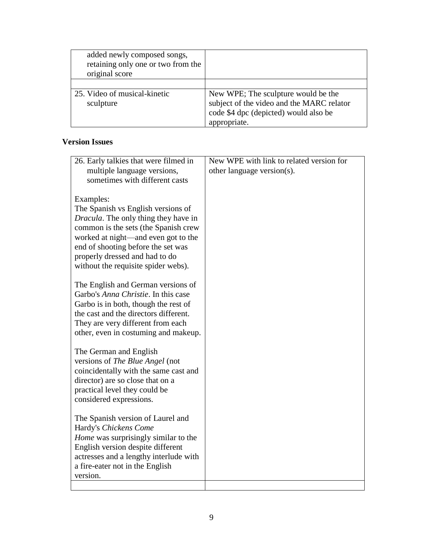| added newly composed songs,<br>retaining only one or two from the<br>original score |                                                                                    |
|-------------------------------------------------------------------------------------|------------------------------------------------------------------------------------|
| 25. Video of musical-kinetic                                                        | New WPE; The sculpture would be the                                                |
| sculpture                                                                           | subject of the video and the MARC relator<br>code \$4 dpc (depicted) would also be |
|                                                                                     | appropriate.                                                                       |

# **Version Issues**

| 26. Early talkies that were filmed in        | New WPE with link to related version for |
|----------------------------------------------|------------------------------------------|
| multiple language versions,                  | other language version(s).               |
| sometimes with different casts               |                                          |
|                                              |                                          |
| Examples:                                    |                                          |
| The Spanish vs English versions of           |                                          |
| <i>Dracula</i> . The only thing they have in |                                          |
| common is the sets (the Spanish crew         |                                          |
| worked at night—and even got to the          |                                          |
| end of shooting before the set was           |                                          |
| properly dressed and had to do               |                                          |
| without the requisite spider webs).          |                                          |
|                                              |                                          |
| The English and German versions of           |                                          |
| Garbo's <i>Anna Christie</i> . In this case  |                                          |
| Garbo is in both, though the rest of         |                                          |
| the cast and the directors different.        |                                          |
| They are very different from each            |                                          |
| other, even in costuming and makeup.         |                                          |
|                                              |                                          |
| The German and English                       |                                          |
| versions of The Blue Angel (not              |                                          |
| coincidentally with the same cast and        |                                          |
| director) are so close that on a             |                                          |
| practical level they could be                |                                          |
| considered expressions.                      |                                          |
|                                              |                                          |
| The Spanish version of Laurel and            |                                          |
| Hardy's Chickens Come                        |                                          |
| <i>Home</i> was surprisingly similar to the  |                                          |
| English version despite different            |                                          |
| actresses and a lengthy interlude with       |                                          |
| a fire-eater not in the English              |                                          |
| version.                                     |                                          |
|                                              |                                          |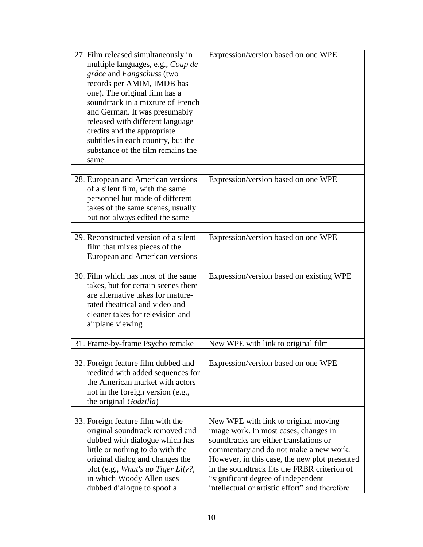| 27. Film released simultaneously in<br>multiple languages, e.g., Coup de<br>grâce and Fangschuss (two<br>records per AMIM, IMDB has<br>one). The original film has a<br>soundtrack in a mixture of French<br>and German. It was presumably<br>released with different language<br>credits and the appropriate<br>subtitles in each country, but the<br>substance of the film remains the<br>same. | Expression/version based on one WPE                                                                                                                                                                                                                                                                                                                        |
|---------------------------------------------------------------------------------------------------------------------------------------------------------------------------------------------------------------------------------------------------------------------------------------------------------------------------------------------------------------------------------------------------|------------------------------------------------------------------------------------------------------------------------------------------------------------------------------------------------------------------------------------------------------------------------------------------------------------------------------------------------------------|
| 28. European and American versions<br>of a silent film, with the same<br>personnel but made of different<br>takes of the same scenes, usually<br>but not always edited the same                                                                                                                                                                                                                   | Expression/version based on one WPE                                                                                                                                                                                                                                                                                                                        |
| 29. Reconstructed version of a silent<br>film that mixes pieces of the<br>European and American versions                                                                                                                                                                                                                                                                                          | Expression/version based on one WPE                                                                                                                                                                                                                                                                                                                        |
| 30. Film which has most of the same<br>takes, but for certain scenes there<br>are alternative takes for mature-<br>rated theatrical and video and<br>cleaner takes for television and<br>airplane viewing                                                                                                                                                                                         | Expression/version based on existing WPE                                                                                                                                                                                                                                                                                                                   |
| 31. Frame-by-frame Psycho remake                                                                                                                                                                                                                                                                                                                                                                  | New WPE with link to original film                                                                                                                                                                                                                                                                                                                         |
|                                                                                                                                                                                                                                                                                                                                                                                                   |                                                                                                                                                                                                                                                                                                                                                            |
| 32. Foreign feature film dubbed and<br>reedited with added sequences for<br>the American market with actors<br>not in the foreign version (e.g.,<br>the original Godzilla)                                                                                                                                                                                                                        | Expression/version based on one WPE                                                                                                                                                                                                                                                                                                                        |
|                                                                                                                                                                                                                                                                                                                                                                                                   |                                                                                                                                                                                                                                                                                                                                                            |
| 33. Foreign feature film with the<br>original soundtrack removed and<br>dubbed with dialogue which has<br>little or nothing to do with the<br>original dialog and changes the<br>plot (e.g., What's up Tiger Lily?,<br>in which Woody Allen uses<br>dubbed dialogue to spoof a                                                                                                                    | New WPE with link to original moving<br>image work. In most cases, changes in<br>soundtracks are either translations or<br>commentary and do not make a new work.<br>However, in this case, the new plot presented<br>in the soundtrack fits the FRBR criterion of<br>"significant degree of independent<br>intellectual or artistic effort" and therefore |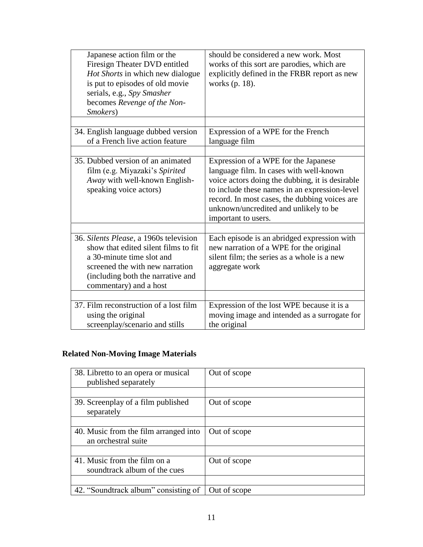| Japanese action film or the<br>Firesign Theater DVD entitled<br>Hot Shorts in which new dialogue<br>is put to episodes of old movie<br>serials, e.g., Spy Smasher<br>becomes Revenge of the Non-<br>Smokers)  | should be considered a new work. Most<br>works of this sort are parodies, which are<br>explicitly defined in the FRBR report as new<br>works (p. 18).                                                                                                                                                |
|---------------------------------------------------------------------------------------------------------------------------------------------------------------------------------------------------------------|------------------------------------------------------------------------------------------------------------------------------------------------------------------------------------------------------------------------------------------------------------------------------------------------------|
| 34. English language dubbed version<br>of a French live action feature                                                                                                                                        | Expression of a WPE for the French<br>language film                                                                                                                                                                                                                                                  |
| 35. Dubbed version of an animated<br>film (e.g. Miyazaki's Spirited<br>Away with well-known English-<br>speaking voice actors)                                                                                | Expression of a WPE for the Japanese<br>language film. In cases with well-known<br>voice actors doing the dubbing, it is desirable<br>to include these names in an expression-level<br>record. In most cases, the dubbing voices are<br>unknown/uncredited and unlikely to be<br>important to users. |
| 36. Silents Please, a 1960s television<br>show that edited silent films to fit<br>a 30-minute time slot and<br>screened the with new narration<br>(including both the narrative and<br>commentary) and a host | Each episode is an abridged expression with<br>new narration of a WPE for the original<br>silent film; the series as a whole is a new<br>aggregate work                                                                                                                                              |
| 37. Film reconstruction of a lost film<br>using the original<br>screenplay/scenario and stills                                                                                                                | Expression of the lost WPE because it is a<br>moving image and intended as a surrogate for<br>the original                                                                                                                                                                                           |

# **Related Non-Moving Image Materials**

| 38. Libretto to an opera or musical<br>published separately  | Out of scope |
|--------------------------------------------------------------|--------------|
|                                                              |              |
| 39. Screenplay of a film published<br>separately             | Out of scope |
|                                                              |              |
| 40. Music from the film arranged into<br>an orchestral suite | Out of scope |
|                                                              |              |
| 41. Music from the film on a<br>soundtrack album of the cues | Out of scope |
|                                                              |              |
| 42. "Soundtrack album" consisting of                         | Out of scope |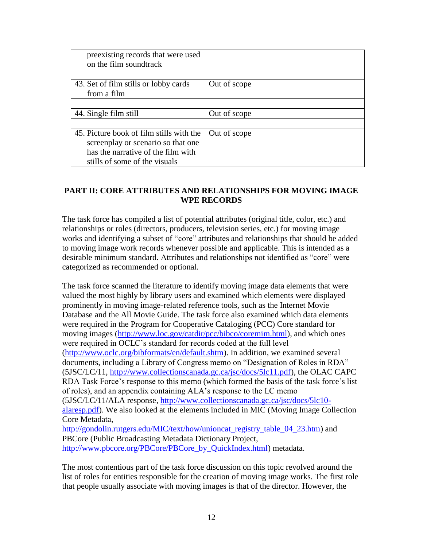| preexisting records that were used<br>on the film soundtrack |              |
|--------------------------------------------------------------|--------------|
|                                                              |              |
| 43. Set of film stills or lobby cards<br>from a film         | Out of scope |
|                                                              |              |
| 44. Single film still                                        | Out of scope |
|                                                              |              |
| 45. Picture book of film stills with the                     | Out of scope |
| screen play or scenario so that one                          |              |
| has the narrative of the film with                           |              |
| stills of some of the visuals                                |              |

# **PART II: CORE ATTRIBUTES AND RELATIONSHIPS FOR MOVING IMAGE WPE RECORDS**

The task force has compiled a list of potential attributes (original title, color, etc.) and relationships or roles (directors, producers, television series, etc.) for moving image works and identifying a subset of "core" attributes and relationships that should be added to moving image work records whenever possible and applicable. This is intended as a desirable minimum standard. Attributes and relationships not identified as "core" were categorized as recommended or optional.

The task force scanned the literature to identify moving image data elements that were valued the most highly by library users and examined which elements were displayed prominently in moving image-related reference tools, such as the Internet Movie Database and the All Movie Guide. The task force also examined which data elements were required in the Program for Cooperative Cataloging (PCC) Core standard for moving images [\(http://www.loc.gov/catdir/pcc/bibco/coremim.html\)](http://www.loc.gov/catdir/pcc/bibco/coremim.html), and which ones were required in OCLC"s standard for records coded at the full level [\(http://www.oclc.org/bibformats/en/default.shtm\)](http://www.oclc.org/bibformats/en/default.shtm). In addition, we examined several documents, including a Library of Congress memo on "Designation of Roles in RDA" (5JSC/LC/11, [http://www.collectionscanada.gc.ca/jsc/docs/5lc11.pdf\)](http://www.collectionscanada.gc.ca/jsc/docs/5lc11.pdf), the OLAC CAPC RDA Task Force's response to this memo (which formed the basis of the task force's list of roles), and an appendix containing ALA"s response to the LC memo (5JSC/LC/11/ALA response, [http://www.collectionscanada.gc.ca/jsc/docs/5lc10](http://www.collectionscanada.gc.ca/jsc/docs/5lc10-alaresp.pdf) [alaresp.pdf\)](http://www.collectionscanada.gc.ca/jsc/docs/5lc10-alaresp.pdf). We also looked at the elements included in MIC (Moving Image Collection Core Metadata, [http://gondolin.rutgers.edu/MIC/text/how/unioncat\\_registry\\_table\\_04\\_23.htm\)](http://gondolin.rutgers.edu/MIC/text/how/unioncat_registry_table_04_23.htm) and PBCore (Public Broadcasting Metadata Dictionary Project,

[http://www.pbcore.org/PBCore/PBCore\\_by\\_QuickIndex.html\)](http://www.pbcore.org/PBCore/PBCore_by_QuickIndex.html) metadata.

The most contentious part of the task force discussion on this topic revolved around the list of roles for entities responsible for the creation of moving image works. The first role that people usually associate with moving images is that of the director. However, the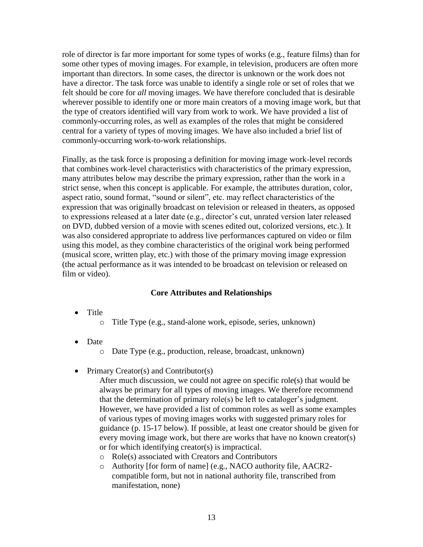role of director is far more important for some types of works (e.g., feature films) than for some other types of moving images. For example, in television, producers are often more important than directors. In some cases, the director is unknown or the work does not have a director. The task force was unable to identify a single role or set of roles that we felt should be core for *all* moving images. We have therefore concluded that is desirable wherever possible to identify one or more main creators of a moving image work, but that the type of creators identified will vary from work to work. We have provided a list of commonly-occurring roles, as well as examples of the roles that might be considered central for a variety of types of moving images. We have also included a brief list of commonly-occurring work-to-work relationships.

Finally, as the task force is proposing a definition for moving image work-level records that combines work-level characteristics with characteristics of the primary expression, many attributes below may describe the primary expression, rather than the work in a strict sense, when this concept is applicable. For example, the attributes duration, color, aspect ratio, sound format, "sound or silent", etc. may reflect characteristics of the expression that was originally broadcast on television or released in theaters, as opposed to expressions released at a later date (e.g., director"s cut, unrated version later released on DVD, dubbed version of a movie with scenes edited out, colorized versions, etc.). It was also considered appropriate to address live performances captured on video or film using this model, as they combine characteristics of the original work being performed (musical score, written play, etc.) with those of the primary moving image expression (the actual performance as it was intended to be broadcast on television or released on film or video).

# **Core Attributes and Relationships**

- Title
	- o Title Type (e.g., stand-alone work, episode, series, unknown)
- Date
	- o Date Type (e.g., production, release, broadcast, unknown)
- Primary Creator(s) and Contributor(s)

After much discussion, we could not agree on specific role(s) that would be always be primary for all types of moving images. We therefore recommend that the determination of primary role(s) be left to cataloger's judgment. However, we have provided a list of common roles as well as some examples of various types of moving images works with suggested primary roles for guidance (p. 15-17 below). If possible, at least one creator should be given for every moving image work, but there are works that have no known creator(s) or for which identifying creator(s) is impractical.

- o Role(s) associated with Creators and Contributors
- o Authority [for form of name] (e.g., NACO authority file, AACR2 compatible form, but not in national authority file, transcribed from manifestation, none)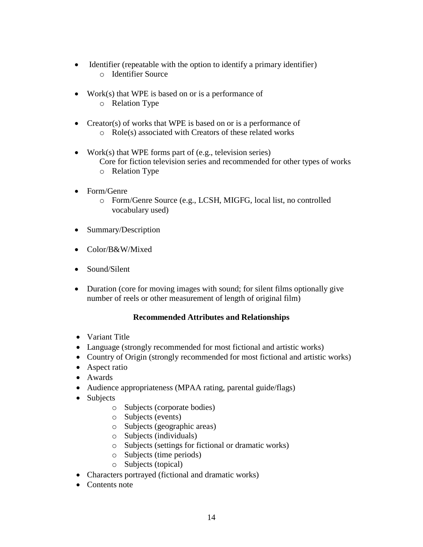- Identifier (repeatable with the option to identify a primary identifier) o Identifier Source
- Work(s) that WPE is based on or is a performance of o Relation Type
- Creator(s) of works that WPE is based on or is a performance of o Role(s) associated with Creators of these related works
- Work(s) that WPE forms part of (e.g., television series) Core for fiction television series and recommended for other types of works o Relation Type
	-
- Form/Genre
	- o Form/Genre Source (e.g., LCSH, MIGFG, local list, no controlled vocabulary used)
- Summary/Description
- Color/B&W/Mixed
- Sound/Silent
- Duration (core for moving images with sound; for silent films optionally give number of reels or other measurement of length of original film)

# **Recommended Attributes and Relationships**

- Variant Title
- Language (strongly recommended for most fictional and artistic works)
- Country of Origin (strongly recommended for most fictional and artistic works)
- Aspect ratio
- Awards
- Audience appropriateness (MPAA rating, parental guide/flags)
- Subjects
	- o Subjects (corporate bodies)
	- o Subjects (events)
	- o Subjects (geographic areas)
	- o Subjects (individuals)
	- o Subjects (settings for fictional or dramatic works)
	- o Subjects (time periods)
	- o Subjects (topical)
- Characters portrayed (fictional and dramatic works)
- Contents note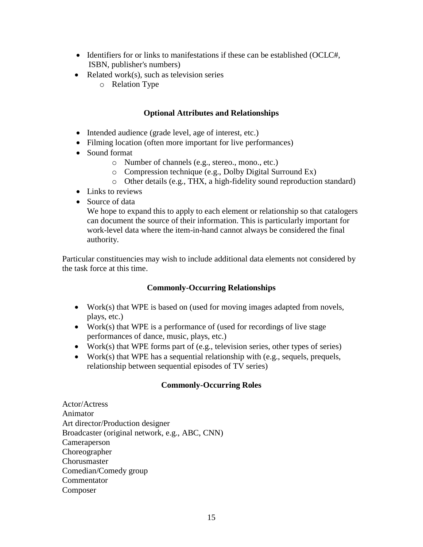- Identifiers for or links to manifestations if these can be established (OCLC#, ISBN, publisher's numbers)
- Related work $(s)$ , such as television series
	- o Relation Type

# **Optional Attributes and Relationships**

- Intended audience (grade level, age of interest, etc.)
- Filming location (often more important for live performances)
- Sound format
	- o Number of channels (e.g., stereo., mono., etc.)
	- o Compression technique (e.g., Dolby Digital Surround Ex)
	- o Other details (e.g., THX, a high-fidelity sound reproduction standard)
- Links to reviews
- Source of data

We hope to expand this to apply to each element or relationship so that catalogers can document the source of their information. This is particularly important for work-level data where the item-in-hand cannot always be considered the final authority.

Particular constituencies may wish to include additional data elements not considered by the task force at this time.

# **Commonly-Occurring Relationships**

- Work(s) that WPE is based on (used for moving images adapted from novels, plays, etc.)
- Work(s) that WPE is a performance of (used for recordings of live stage performances of dance, music, plays, etc.)
- Work(s) that WPE forms part of (e.g., television series, other types of series)
- Work(s) that WPE has a sequential relationship with (e.g., sequels, prequels, relationship between sequential episodes of TV series)

# **Commonly-Occurring Roles**

Actor/Actress Animator Art director/Production designer Broadcaster (original network, e.g., ABC, CNN) Cameraperson Choreographer **Chorusmaster** Comedian/Comedy group Commentator Composer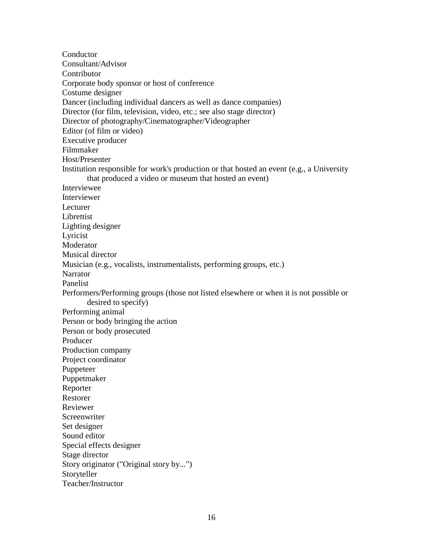**Conductor** Consultant/Advisor **Contributor** Corporate body sponsor or host of conference Costume designer Dancer (including individual dancers as well as dance companies) Director (for film, television, video, etc.; see also stage director) Director of photography/Cinematographer/Videographer Editor (of film or video) Executive producer Filmmaker Host/Presenter Institution responsible for work's production or that hosted an event (e.g., a University that produced a video or museum that hosted an event) Interviewee Interviewer Lecturer Librettist Lighting designer Lyricist **Moderator** Musical director Musician (e.g., vocalists, instrumentalists, performing groups, etc.) **Narrator** Panelist Performers/Performing groups (those not listed elsewhere or when it is not possible or desired to specify) Performing animal Person or body bringing the action Person or body prosecuted Producer Production company Project coordinator Puppeteer Puppetmaker Reporter Restorer Reviewer **Screenwriter** Set designer Sound editor Special effects designer Stage director Story originator ("Original story by...") Storyteller Teacher/Instructor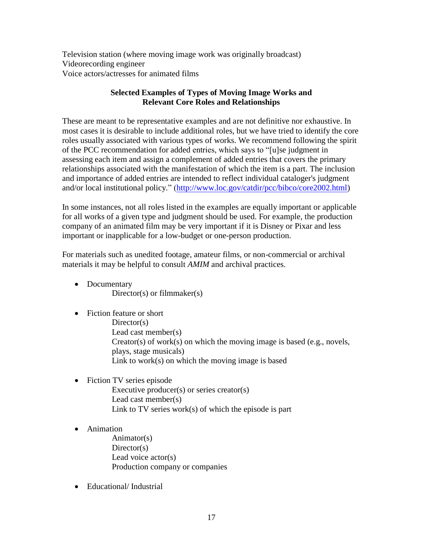Television station (where moving image work was originally broadcast) Videorecording engineer Voice actors/actresses for animated films

# **Selected Examples of Types of Moving Image Works and Relevant Core Roles and Relationships**

These are meant to be representative examples and are not definitive nor exhaustive. In most cases it is desirable to include additional roles, but we have tried to identify the core roles usually associated with various types of works. We recommend following the spirit of the PCC recommendation for added entries, which says to "[u]se judgment in assessing each item and assign a complement of added entries that covers the primary relationships associated with the manifestation of which the item is a part. The inclusion and importance of added entries are intended to reflect individual cataloger's judgment and/or local institutional policy." [\(http://www.loc.gov/catdir/pcc/bibco/core2002.html\)](http://www.loc.gov/catdir/pcc/bibco/core2002.html)

In some instances, not all roles listed in the examples are equally important or applicable for all works of a given type and judgment should be used. For example, the production company of an animated film may be very important if it is Disney or Pixar and less important or inapplicable for a low-budget or one-person production.

For materials such as unedited footage, amateur films, or non-commercial or archival materials it may be helpful to consult *AMIM* and archival practices.

- Documentary Director(s) or filmmaker(s)
- Fiction feature or short Director(s) Lead cast member(s) Creator(s) of work(s) on which the moving image is based (e.g., novels, plays, stage musicals) Link to work(s) on which the moving image is based
- Fiction TV series episode Executive producer(s) or series creator(s) Lead cast member(s) Link to TV series work(s) of which the episode is part
- Animation

Animator(s) Director(s) Lead voice actor(s) Production company or companies

• Educational/Industrial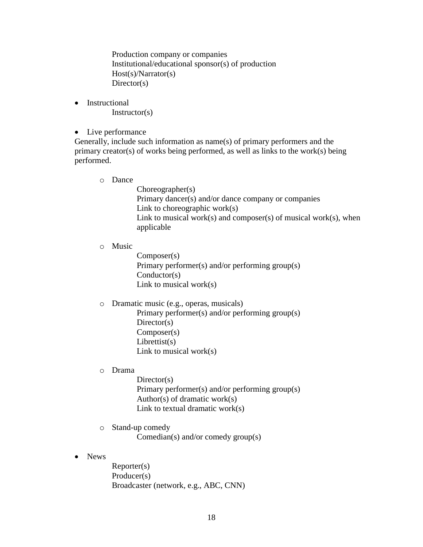Production company or companies Institutional/educational sponsor(s) of production Host(s)/Narrator(s) Director(s)

• Instructional Instructor(s)

# • Live performance

Generally, include such information as name(s) of primary performers and the primary creator(s) of works being performed, as well as links to the work(s) being performed.

o Dance

Choreographer(s) Primary dancer(s) and/or dance company or companies Link to choreographic work(s) Link to musical work(s) and composer(s) of musical work(s), when applicable

o Music

Composer(s) Primary performer(s) and/or performing group(s) Conductor(s) Link to musical work(s)

o Dramatic music (e.g., operas, musicals)

Primary performer(s) and/or performing group(s) Director(s) Composer(s)  $Librettist(s)$ Link to musical work(s)

o Drama

Director(s) Primary performer(s) and/or performing group(s) Author(s) of dramatic work(s) Link to textual dramatic work(s)

o Stand-up comedy

Comedian(s) and/or comedy group(s)

• News

Reporter(s) Producer(s) Broadcaster (network, e.g., ABC, CNN)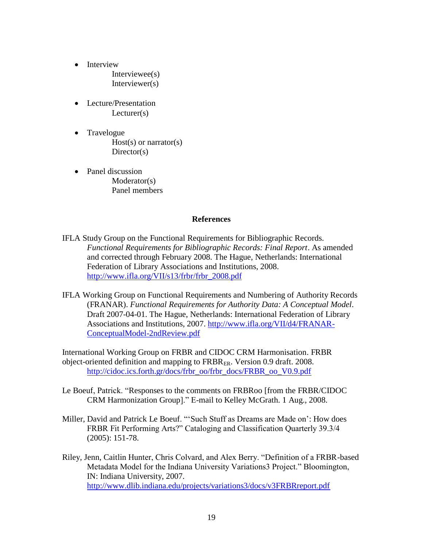- Interview Interviewee(s) Interviewer(s)
- Lecture/Presentation Lecturer(s)
- Travelogue  $Host(s)$  or narrator(s)  $Directory(s)$
- Panel discussion Moderator(s) Panel members

#### **References**

- IFLA Study Group on the Functional Requirements for Bibliographic Records. *Functional Requirements for Bibliographic Records: Final Report*. As amended and corrected through February 2008. The Hague, Netherlands: International Federation of Library Associations and Institutions, 2008. [http://www.ifla.org/VII/s13/frbr/frbr\\_2008.pdf](http://www.ifla.org/VII/s13/frbr/frbr_2008.pdf)
- IFLA Working Group on Functional Requirements and Numbering of Authority Records (FRANAR). *Functional Requirements for Authority Data: A Conceptual Model*. Draft 2007-04-01. The Hague, Netherlands: International Federation of Library Associations and Institutions, 2007. [http://www.ifla.org/VII/d4/FRANAR-](http://www.ifla.org/VII/d4/FRANAR-ConceptualModel-2ndReview.pdf)[ConceptualModel-2ndReview.pdf](http://www.ifla.org/VII/d4/FRANAR-ConceptualModel-2ndReview.pdf)

International Working Group on FRBR and CIDOC CRM Harmonisation. FRBR object-oriented definition and mapping to FRBRER. Version 0.9 draft. 2008. [http://cidoc.ics.forth.gr/docs/frbr\\_oo/frbr\\_docs/FRBR\\_oo\\_V0.9.pdf](http://cidoc.ics.forth.gr/docs/frbr_oo/frbr_docs/FRBR_oo_V0.9.pdf)

- Le Boeuf, Patrick. "Responses to the comments on FRBRoo [from the FRBR/CIDOC CRM Harmonization Group]." E-mail to Kelley McGrath. 1 Aug., 2008.
- Miller, David and Patrick Le Boeuf. "'Such Stuff as Dreams are Made on': How does FRBR Fit Performing Arts?" Cataloging and Classification Quarterly 39.3/4 (2005): 151-78.
- Riley, Jenn, Caitlin Hunter, Chris Colvard, and Alex Berry. "Definition of a FRBR-based Metadata Model for the Indiana University Variations3 Project." Bloomington, IN: Indiana University, 2007. <http://www.dlib.indiana.edu/projects/variations3/docs/v3FRBRreport.pdf>